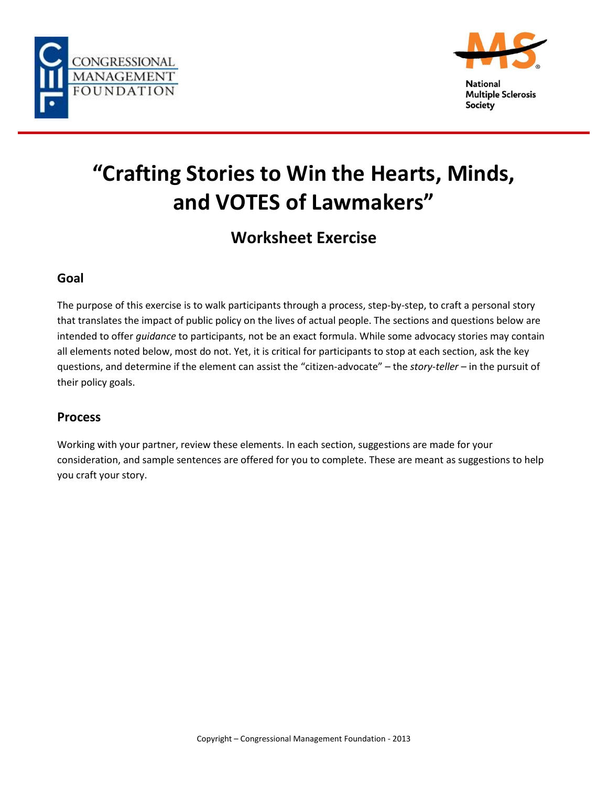



**Multiple Sclerosis Society** 

# **"Crafting Stories to Win the Hearts, Minds, and VOTES of Lawmakers"**

## **Worksheet Exercise**

#### **Goal**

The purpose of this exercise is to walk participants through a process, step-by-step, to craft a personal story that translates the impact of public policy on the lives of actual people. The sections and questions below are intended to offer *guidance* to participants, not be an exact formula. While some advocacy stories may contain all elements noted below, most do not. Yet, it is critical for participants to stop at each section, ask the key questions, and determine if the element can assist the "citizen-advocate" – the *story-teller* – in the pursuit of their policy goals.

#### **Process**

Working with your partner, review these elements. In each section, suggestions are made for your consideration, and sample sentences are offered for you to complete. These are meant as suggestions to help you craft your story.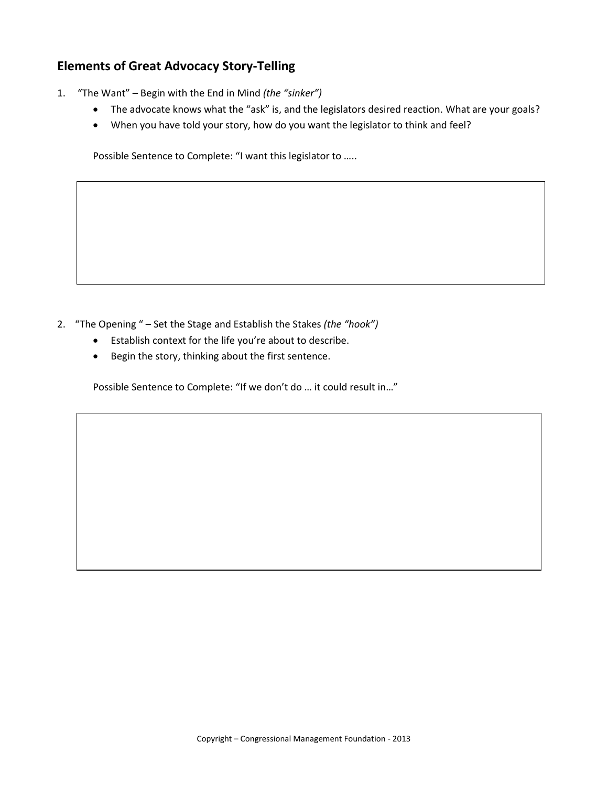### **Elements of Great Advocacy Story-Telling**

- 1. "The Want" Begin with the End in Mind *(the "sinker")*
	- The advocate knows what the "ask" is, and the legislators desired reaction. What are your goals?
	- When you have told your story, how do you want the legislator to think and feel?

Possible Sentence to Complete: "I want this legislator to …..

- 2. "The Opening " Set the Stage and Establish the Stakes *(the "hook")*
	- Establish context for the life you're about to describe.
	- Begin the story, thinking about the first sentence.

Possible Sentence to Complete: "If we don't do … it could result in…"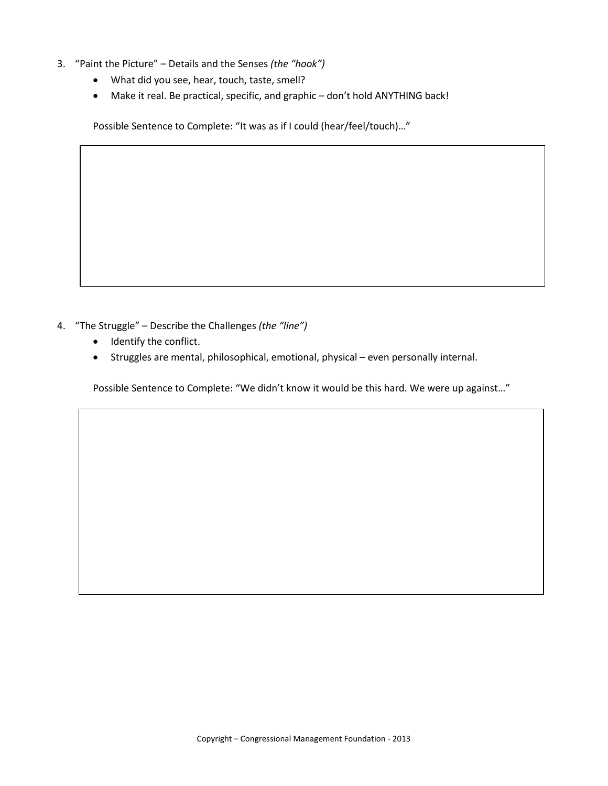- 3. "Paint the Picture" Details and the Senses *(the "hook")*
	- What did you see, hear, touch, taste, smell?
	- Make it real. Be practical, specific, and graphic don't hold ANYTHING back!

Possible Sentence to Complete: "It was as if I could (hear/feel/touch)…"

- 4. "The Struggle" Describe the Challenges *(the "line")*
	- Identify the conflict.
	- Struggles are mental, philosophical, emotional, physical even personally internal.

Possible Sentence to Complete: "We didn't know it would be this hard. We were up against…"